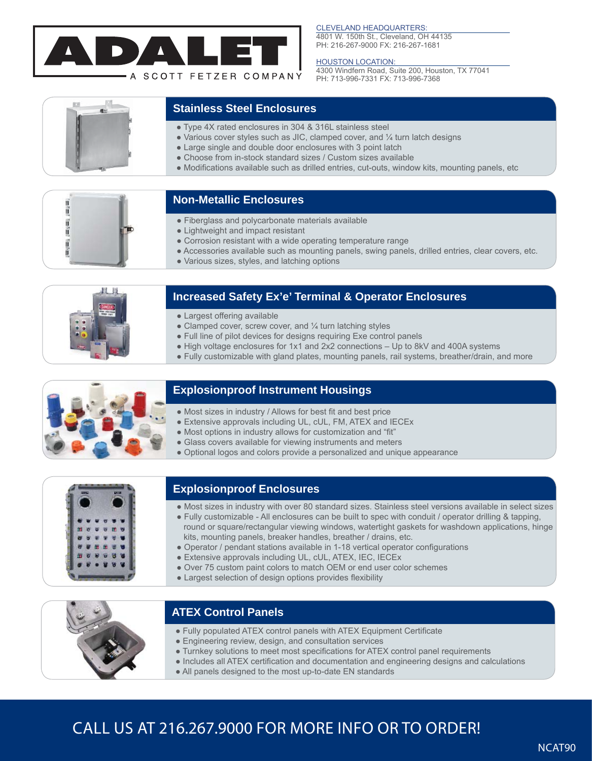

#### CLEVELAND HEADQUARTERS:

4801 W. 150th St., Cleveland, OH 44135 PH: 216-267-9000 FX: 216-267-1681

#### **HOUSTON LOCATION:**

4300 Windfern Road, Suite 200, Houston, TX 77041 PH: 713-996-7331 FX: 713-996-7368



### **Stainless Steel Enclosures**

- Type 4X rated enclosures in 304 & 316L stainless steel
- $\bullet$  Various cover styles such as JIC, clamped cover, and  $\frac{1}{4}$  turn latch designs
- Large single and double door enclosures with 3 point latch
- Choose from in-stock standard sizes / Custom sizes available
- Modifications available such as drilled entries, cut-outs, window kits, mounting panels, etc



### **Non-Metallic Enclosures**

- Fiberglass and polycarbonate materials available
- Lightweight and impact resistant
- Corrosion resistant with a wide operating temperature range
- Accessories available such as mounting panels, swing panels, drilled entries, clear covers, etc.
- Various sizes, styles, and latching options



# **Increased Safety Ex'e' Terminal & Operator Enclosures**

- Largest offering available
- Clamped cover, screw cover, and  $\frac{1}{4}$  turn latching styles
- Full line of pilot devices for designs requiring Exe control panels
- High voltage enclosures for 1x1 and 2x2 connections Up to 8kV and 400A systems
- Fully customizable with gland plates, mounting panels, rail systems, breather/drain, and more



### **Explosionproof Instrument Housings**

- Most sizes in industry / Allows for best fit and best price
- Extensive approvals including UL, cUL, FM, ATEX and IECEx
- Most options in industry allows for customization and "fit"
- Glass covers available for viewing instruments and meters
- Optional logos and colors provide a personalized and unique appearance



# **Explosionproof Enclosures**

- Most sizes in industry with over 80 standard sizes. Stainless steel versions available in select sizes
- Fully customizable All enclosures can be built to spec with conduit / operator drilling & tapping, round or square/rectangular viewing windows, watertight gaskets for washdown applications, hinge kits, mounting panels, breaker handles, breather / drains, etc.
- Operator / pendant stations available in 1-18 vertical operator configurations
- Extensive approvals including UL, cUL, ATEX, IEC, IECEx
- Over 75 custom paint colors to match OEM or end user color schemes
- Largest selection of design options provides flexibility



Ī

# **ATEX Control Panels**

- Fully populated ATEX control panels with ATEX Equipment Certificate
- Engineering review, design, and consultation services
- Turnkey solutions to meet most specifications for ATEX control panel requirements
- Includes all ATEX certification and documentation and engineering designs and calculations
- All panels designed to the most up-to-date EN standards

# CALL US AT 216.267.9000 FOR MORE INFO OR TO ORDER!